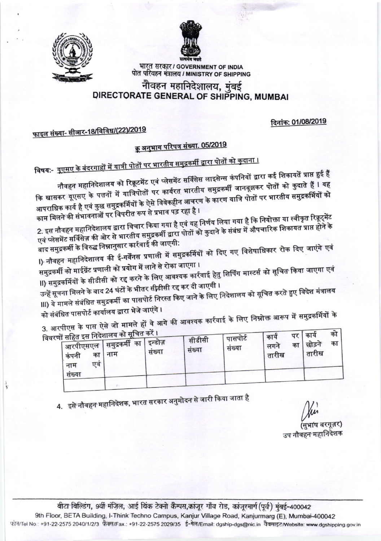

भारत सरकार / GOVERNMENT OF INDIA पोत परिवहन मंत्रालय / MINISTRY OF SHIPPING

## नौवहन महानिदेशालय, मुंबई DIRECTORATE GENERAL OF SHIPPING, MUMBAI

दिनांक: 01/08/2019

<u>फाइल संख्या- सीआर-18/विविध/(22)/2019</u>

# <u>क्रू अनुभाग परिपत्र संख्या. 05/2019</u>

<u> विषय:- यूएसए के बंदरगाहों में यात्री पोतों पर भारतीय समुद्रकर्मी द्वारा पोतों को कुदाना ।</u>

नौवहन महानिदेशालय को रिक्रूटमेंट एवं प्लेसमेंट सर्विसेस लाइसेन्स कंपनियों द्वारा कई शिकायतें प्राप्त हुई हैं कि खासकर यूएसए के पत्तनों में यात्रिपोतों पर कार्यरत भारतीय समुद्रकर्मी जानबूझकर पोतों को कुदाते हैं l यह आपराधिक कार्य है एवं कुछ समुद्रकर्मियों के ऐसे विवेकहीन आचरण के कारण यात्रि पोतों पर भारतीय समुद्रकर्मियों को काम मिलने की संभावनाओं पर विपरीत रूप से प्रभाव पड़ रहा है ।

2. इस नौवहन महानिदेशालय द्वारा विचार किया गया है एवं यह निर्णय लिया गया है कि नियोक्ता या स्वीकृत रिक्रूट्मेंट एवं प्लेसमेंट सर्विसेज की ओर से भारतीय समुद्रकर्मी द्वारा पोतों को कुदाने के संबंध में औपचारिक शिकायत प्राप्त होने के

बाद समुद्रकर्मी के विरुद्ध निम्नानुसार कार्रवाई की जाएगी: l) नौवहन महानिदेशालय की ई-गर्वेंनस प्रणाली में समुद्रकर्मियों को दिए गए विशेषाधिकार रोक दिए जाएंगे एवं

समुद्रकर्मी को माईग्रेंट प्रणाली को प्रयोग में लाने से रोका जाएगा । ll) समुद्रकर्मियों के सीडीसी को रद्द करने के लिए आवश्यक कार्रवाई हेतु शिर्पिंग मास्टर्स को सूचित किया जाएगा एवं

उन्हें सूचना मिलने के बाद 24 घंटों के भीतर सीडीसी रद्द कर दी जाएगी । III) ये मामले संबंधित समुद्रकर्मी का पासपोर्ट निरस्त किए जाने के लिए निदेशालय को सूचित करते हुए विदेश मंत्रालय को संबंधित पासपोर्ट कार्यालय द्वारा भेजे जाएंगे ।

3. आरपीएस के पास ऐसे जो मामले हों वे आगे की आवश्यक कार्रवाई के लिए निम्नोक्त आरूप में समुद्रकर्मियों के

| कंपनी<br>नाम<br>संख्या | एवं | विवरणों सहित इस निदेशालय का सूचित करें ।<br><sup>।</sup> आरपीएसएल दसमुद्रकर्मी का <sub>।</sub><br>का   नाम | इन्डोज़<br>संख्या | सीडीसी<br>संख्या | पासपोर्ट<br>संख्या | काय<br>लगन<br>तारीख | कार्य<br>छोड़ने<br>तारीख | का<br>का |  |
|------------------------|-----|------------------------------------------------------------------------------------------------------------|-------------------|------------------|--------------------|---------------------|--------------------------|----------|--|
|                        |     |                                                                                                            |                   |                  |                    |                     |                          |          |  |

4. इसे नौवहन महानिदेशक, भारत सरकार अनुमोदन से जारी किया जाता है

(सुभाष बरगूज़र)

उप नौवहन महानिदेशक

बीटा बिल्डिंग, 9वीं मंजिल, आई थिंक टेक्नो कैम्पस,कांजूर गाँव रोड, कांजुरमार्ग(पूर्व) मुंबई-400042 9th Floor, BETA Building, I-Think Techno Campus, Kanjur Village Road, Kanjurmarg (E), Mumbai-400042 फोन/Tel No.: +91-22-2575 2040/1/2/3 फ़ैक्स/Fax.: +91-22-2575 2029/35 ई-मेल/Email: dgship-dgs@nic.in वैबसाइट/Website: www.dgshipping.gov.in